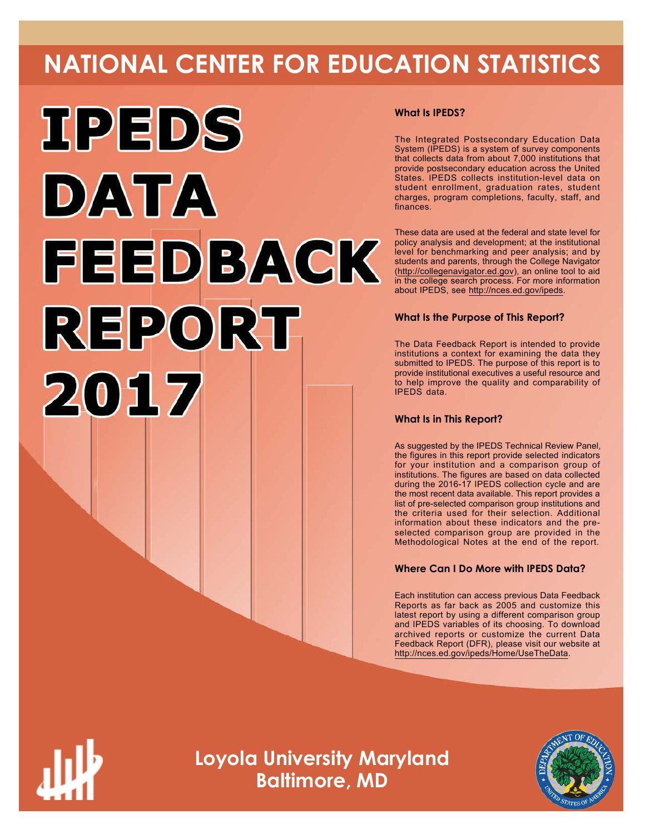# **NATIONAL CENTER FOR EDUCATION STATISTICS**



# **What Is IPEDS?**

The Integrated Postsecondary Education Data System (IPEDS) is a system of survey components that collects data from about 7,000 institutions that provide postsecondary education across the United States. IPEDS collects institution-level data on student enrollment, graduation rates, student charges, program completions, faculty, staff, and finances.

These data are used at the federal and state level for policy analysis and development; at the institutional level for benchmarking and peer analysis; and by students and parents, through the College Navigator ([http://collegenavigator.ed.gov\)](http://collegenavigator.ed.gov), an online tool to aid in the college search process. For more information about IPEDS, see [http://nces.ed.gov/ipeds.](http://nces.ed.gov/ipeds)

# **What Is the Purpose of This Report?**

The Data Feedback Report is intended to provide institutions a context for examining the data they submitted to IPEDS. The purpose of this report is to provide institutional executives a useful resource and to help improve the quality and comparability of IPEDS data.

# **What Is in This Report?**

As suggested by the IPEDS Technical Review Panel, the figures in this report provide selected indicators for your institution and a comparison group of institutions. The figures are based on data collected during the 2016-17 IPEDS collection cycle and are the most recent data available. This report provides a list of pre-selected comparison group institutions and the criteria used for their selection. Additional information about these indicators and the preselected comparison group are provided in the Methodological Notes at the end of the report.

# **Where Can I Do More with IPEDS Data?**

Each institution can access previous Data Feedback Reports as far back as 2005 and customize this latest report by using a different comparison group and IPEDS variables of its choosing. To download archived reports or customize the current Data Feedback Report (DFR), please visit our website at <http://nces.ed.gov/ipeds/Home/UseTheData>.

**Loyola University Maryland Baltimore, MD**

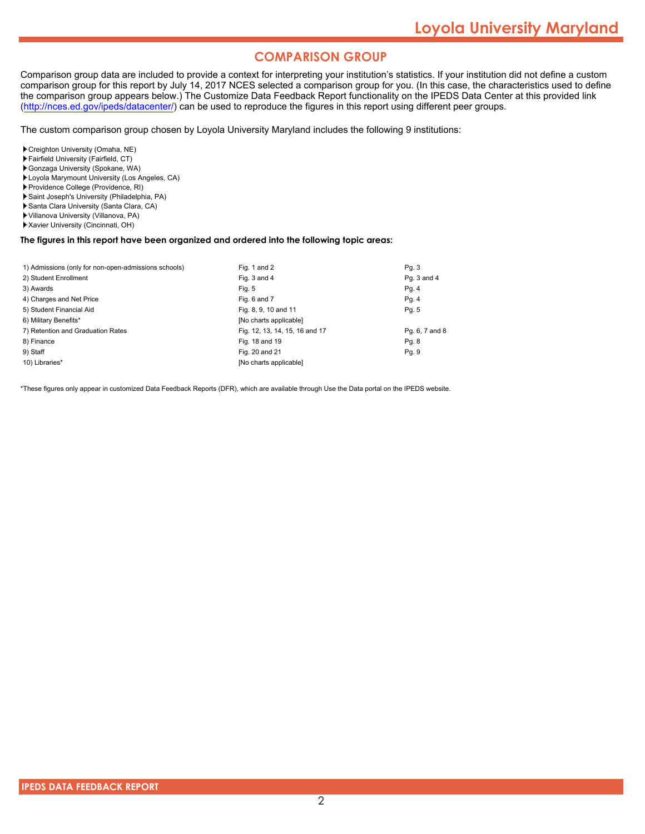# **COMPARISON GROUP**

Comparison group data are included to provide a context for interpreting your institution's statistics. If your institution did not define a custom comparison group for this report by July 14, 2017 NCES selected a comparison group for you. (In this case, the characteristics used to define the comparison group appears below.) The Customize Data Feedback Report functionality on the IPEDS Data Center at this provided link [\(http://nces.ed.gov/ipeds/datacenter/\)](http://nces.ed.gov/ipeds/datacenter/) can be used to reproduce the figures in this report using different peer groups.

The custom comparison group chosen by Loyola University Maryland includes the following 9 institutions:

- Creighton University (Omaha, NE)
- Fairfield University (Fairfield, CT)
- Gonzaga University (Spokane, WA)
- Loyola Marymount University (Los Angeles, CA)
- Providence College (Providence, RI)
- Saint Joseph's University (Philadelphia, PA)
- Santa Clara University (Santa Clara, CA)
- Villanova University (Villanova, PA)
- Xavier University (Cincinnati, OH)

# **The figures in this report have been organized and ordered into the following topic areas:**

| 1) Admissions (only for non-open-admissions schools) | Fig. 1 and 2                   | Pq. 3          |
|------------------------------------------------------|--------------------------------|----------------|
| 2) Student Enrollment                                | Fig. 3 and 4                   | Pg. 3 and 4    |
| 3) Awards                                            | Fig. 5                         | Pg. 4          |
| 4) Charges and Net Price                             | Fig. 6 and 7                   | Pg. 4          |
| 5) Student Financial Aid                             | Fig. 8, 9, 10 and 11           | Pg. 5          |
| 6) Military Benefits*                                | [No charts applicable]         |                |
| 7) Retention and Graduation Rates                    | Fig. 12, 13, 14, 15, 16 and 17 | Pg. 6, 7 and 8 |
| 8) Finance                                           | Fig. 18 and 19                 | Pg. 8          |
| 9) Staff                                             | Fig. 20 and 21                 | Pg. 9          |
| 10) Libraries*                                       | [No charts applicable]         |                |

\*These figures only appear in customized Data Feedback Reports (DFR), which are available through Use the Data portal on the IPEDS website.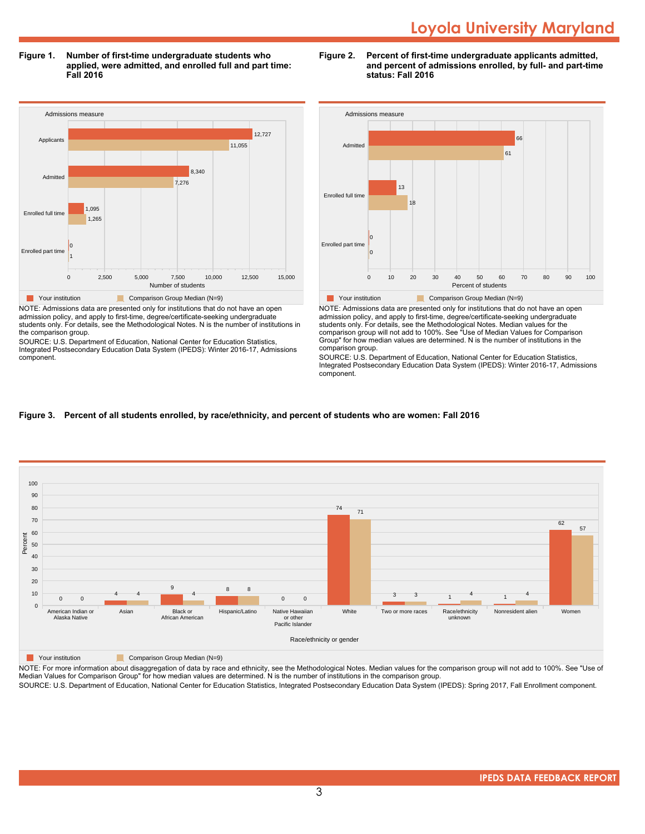**Figure 1. Number of first-time undergraduate students who applied, were admitted, and enrolled full and part time: Fall 2016**



admission policy, and apply to first-time, degree/certificate-seeking undergraduate students only. For details, see the Methodological Notes. N is the number of institutions in the comparison group.

SOURCE: U.S. Department of Education, National Center for Education Statistics, Integrated Postsecondary Education Data System (IPEDS): Winter 2016-17, Admissions component.





NOTE: Admissions data are presented only for institutions that do not have an open admission policy, and apply to first-time, degree/certificate-seeking undergraduate students only. For details, see the Methodological Notes. Median values for the comparison group will not add to 100%. See "Use of Median Values for Comparison Group" for how median values are determined. N is the number of institutions in the comparison group.

SOURCE: U.S. Department of Education, National Center for Education Statistics, Integrated Postsecondary Education Data System (IPEDS): Winter 2016-17, Admissions component.

# **Figure 3. Percent of all students enrolled, by race/ethnicity, and percent of students who are women: Fall 2016**



#### **The Comparison Group Median (N=9)** Comparison Group Median (N=9)

NOTE: For more information about disaggregation of data by race and ethnicity, see the Methodological Notes. Median values for the comparison group will not add to 100%. See "Use of Median Values for Comparison Group" for how median values are determined. N is the number of institutions in the comparison group.

SOURCE: U.S. Department of Education, National Center for Education Statistics, Integrated Postsecondary Education Data System (IPEDS): Spring 2017, Fall Enrollment component.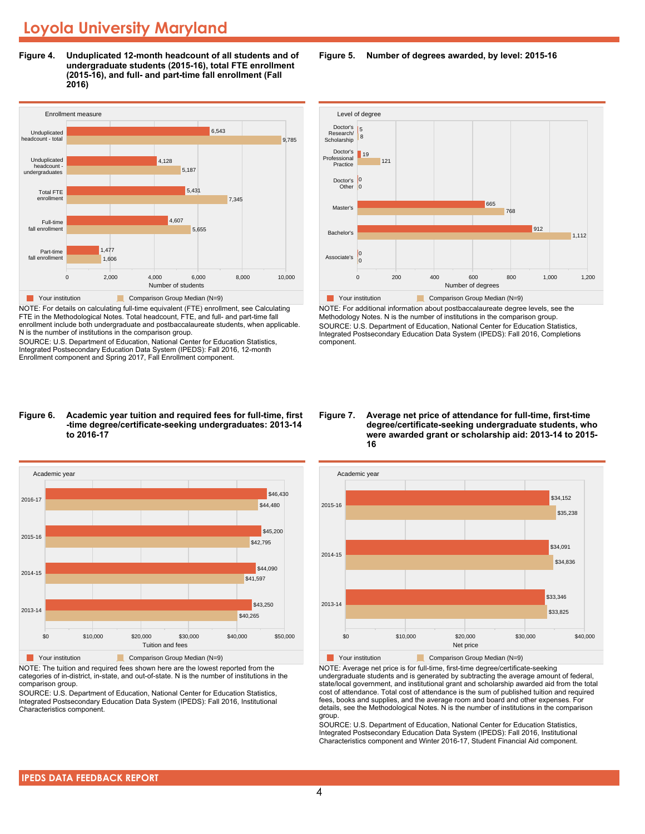**Figure 4. Unduplicated 12-month headcount of all students and of undergraduate students (2015-16), total FTE enrollment (2015-16), and full- and part-time fall enrollment (Fall 2016)**



NOTE: For details on calculating full-time equivalent (FTE) enrollment, see Calculating FTE in the Methodological Notes. Total headcount, FTE, and full- and part-time fall enrollment include both undergraduate and postbaccalaureate students, when applicable. N is the number of institutions in the comparison group.

SOURCE: U.S. Department of Education, National Center for Education Statistics, Integrated Postsecondary Education Data System (IPEDS): Fall 2016, 12-month Enrollment component and Spring 2017, Fall Enrollment component.

#### **Figure 6. Academic year tuition and required fees for full-time, first -time degree/certificate-seeking undergraduates: 2013-14 to 2016-17**



NOTE: The tuition and required fees shown here are the lowest reported from the categories of in-district, in-state, and out-of-state. N is the number of institutions in the comparison group.

SOURCE: U.S. Department of Education, National Center for Education Statistics, Integrated Postsecondary Education Data System (IPEDS): Fall 2016, Institutional Characteristics component.

**Figure 5. Number of degrees awarded, by level: 2015-16**



NOTE: For additional information about postbaccalaureate degree levels, see the Methodology Notes. N is the number of institutions in the comparison group. SOURCE: U.S. Department of Education, National Center for Education Statistics, Integrated Postsecondary Education Data System (IPEDS): Fall 2016, Completions component.

**Figure 7. Average net price of attendance for full-time, first-time degree/certificate-seeking undergraduate students, who were awarded grant or scholarship aid: 2013-14 to 2015- 16**



NOTE: Average net price is for full-time, first-time degree/certificate-seeking undergraduate students and is generated by subtracting the average amount of federal, state/local government, and institutional grant and scholarship awarded aid from the total cost of attendance. Total cost of attendance is the sum of published tuition and required fees, books and supplies, and the average room and board and other expenses. For details, see the Methodological Notes. N is the number of institutions in the comparison group.

SOURCE: U.S. Department of Education, National Center for Education Statistics, Integrated Postsecondary Education Data System (IPEDS): Fall 2016, Institutional Characteristics component and Winter 2016-17, Student Financial Aid component.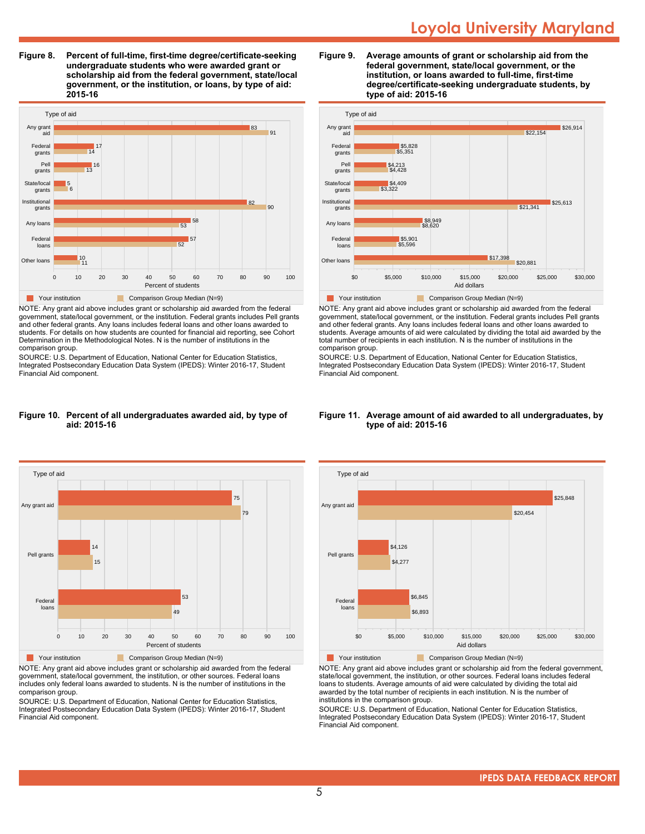**Figure 8. Percent of full-time, first-time degree/certificate-seeking undergraduate students who were awarded grant or scholarship aid from the federal government, state/local government, or the institution, or loans, by type of aid: 2015-16**



NOTE: Any grant aid above includes grant or scholarship aid awarded from the federal government, state/local government, or the institution. Federal grants includes Pell grants and other federal grants. Any loans includes federal loans and other loans awarded to students. For details on how students are counted for financial aid reporting, see Cohort Determination in the Methodological Notes. N is the number of institutions in the comparison group.

SOURCE: U.S. Department of Education, National Center for Education Statistics, Integrated Postsecondary Education Data System (IPEDS): Winter 2016-17, Student Financial Aid component.

#### **Figure 10. Percent of all undergraduates awarded aid, by type of aid: 2015-16**



NOTE: Any grant aid above includes grant or scholarship aid awarded from the federal government, state/local government, the institution, or other sources. Federal loans includes only federal loans awarded to students. N is the number of institutions in the comparison group.

SOURCE: U.S. Department of Education, National Center for Education Statistics, Integrated Postsecondary Education Data System (IPEDS): Winter 2016-17, Student Financial Aid component.





NOTE: Any grant aid above includes grant or scholarship aid awarded from the federal government, state/local government, or the institution. Federal grants includes Pell grants and other federal grants. Any loans includes federal loans and other loans awarded to students. Average amounts of aid were calculated by dividing the total aid awarded by the total number of recipients in each institution. N is the number of institutions in the comparison group.

SOURCE: U.S. Department of Education, National Center for Education Statistics, Integrated Postsecondary Education Data System (IPEDS): Winter 2016-17, Student Financial Aid component.



#### **Figure 11. Average amount of aid awarded to all undergraduates, by type of aid: 2015-16**

Your institution Comparison Group Median (N=9)

NOTE: Any grant aid above includes grant or scholarship aid from the federal government, state/local government, the institution, or other sources. Federal loans includes federal loans to students. Average amounts of aid were calculated by dividing the total aid awarded by the total number of recipients in each institution. N is the number of institutions in the comparison group.

SOURCE: U.S. Department of Education, National Center for Education Statistics, Integrated Postsecondary Education Data System (IPEDS): Winter 2016-17, Student Financial Aid component.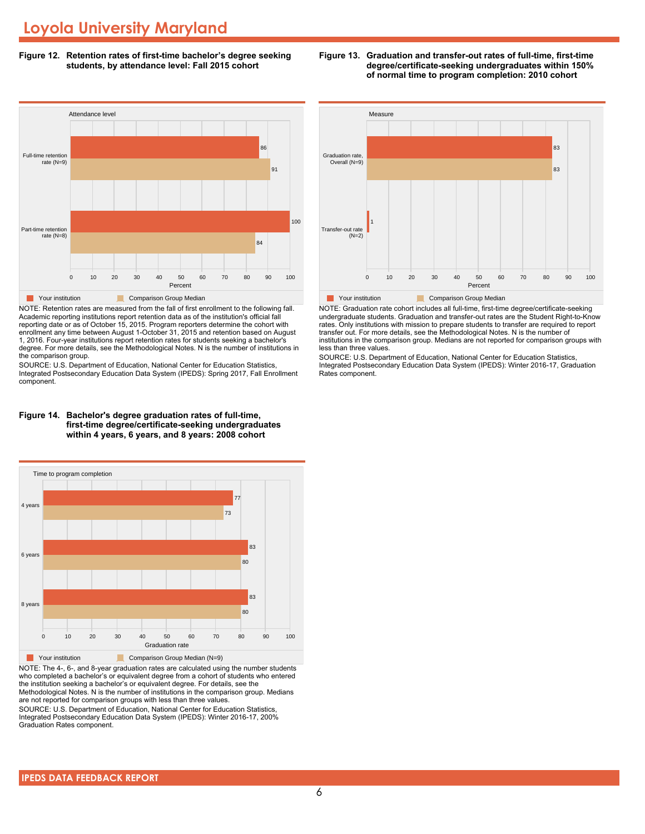**Figure 12. Retention rates of first-time bachelor's degree seeking students, by attendance level: Fall 2015 cohort**



NOTE: Retention rates are measured from the fall of first enrollment to the following fall. Academic reporting institutions report retention data as of the institution's official fall reporting date or as of October 15, 2015. Program reporters determine the cohort with enrollment any time between August 1-October 31, 2015 and retention based on August 1, 2016. Four-year institutions report retention rates for students seeking a bachelor's degree. For more details, see the Methodological Notes. N is the number of institutions in the comparison group.

SOURCE: U.S. Department of Education, National Center for Education Statistics, Integrated Postsecondary Education Data System (IPEDS): Spring 2017, Fall Enrollment component.

# **Figure 14. Bachelor's degree graduation rates of full-time, first-time degree/certificate-seeking undergraduates within 4 years, 6 years, and 8 years: 2008 cohort**



NOTE: The 4-, 6-, and 8-year graduation rates are calculated using the number students who completed a bachelor's or equivalent degree from a cohort of students who entered the institution seeking a bachelor's or equivalent degree. For details, see the Methodological Notes. N is the number of institutions in the comparison group. Medians are not reported for comparison groups with less than three values.

SOURCE: U.S. Department of Education, National Center for Education Statistics, Integrated Postsecondary Education Data System (IPEDS): Winter 2016-17, 200% Graduation Rates component.



**The Your institution Comparison Group Median** 

NOTE: Graduation rate cohort includes all full-time, first-time degree/certificate-seeking undergraduate students. Graduation and transfer-out rates are the Student Right-to-Know rates. Only institutions with mission to prepare students to transfer are required to report transfer out. For more details, see the Methodological Notes. N is the number of institutions in the comparison group. Medians are not reported for comparison groups with less than three values.

SOURCE: U.S. Department of Education, National Center for Education Statistics, Integrated Postsecondary Education Data System (IPEDS): Winter 2016-17, Graduation Rates component.

#### **Figure 13. Graduation and transfer-out rates of full-time, first-time degree/certificate-seeking undergraduates within 150% of normal time to program completion: 2010 cohort**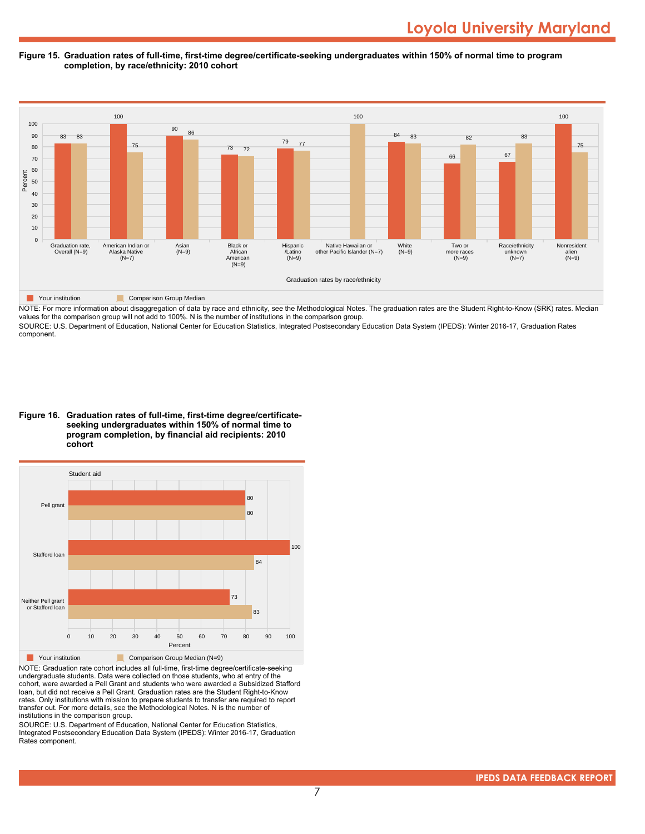#### **Figure 15. Graduation rates of full-time, first-time degree/certificate-seeking undergraduates within 150% of normal time to program completion, by race/ethnicity: 2010 cohort**



NOTE: For more information about disaggregation of data by race and ethnicity, see the Methodological Notes. The graduation rates are the Student Right-to-Know (SRK) rates. Median values for the comparison group will not add to 100%. N is the number of institutions in the comparison group.

SOURCE: U.S. Department of Education, National Center for Education Statistics, Integrated Postsecondary Education Data System (IPEDS): Winter 2016-17, Graduation Rates component.

**Figure 16. Graduation rates of full-time, first-time degree/certificateseeking undergraduates within 150% of normal time to program completion, by financial aid recipients: 2010 cohort**



NOTE: Graduation rate cohort includes all full-time, first-time degree/certificate-seeking undergraduate students. Data were collected on those students, who at entry of the cohort, were awarded a Pell Grant and students who were awarded a Subsidized Stafford loan, but did not receive a Pell Grant. Graduation rates are the Student Right-to-Know rates. Only institutions with mission to prepare students to transfer are required to report transfer out. For more details, see the Methodological Notes. N is the number of institutions in the comparison group.

SOURCE: U.S. Department of Education, National Center for Education Statistics, Integrated Postsecondary Education Data System (IPEDS): Winter 2016-17, Graduation Rates component.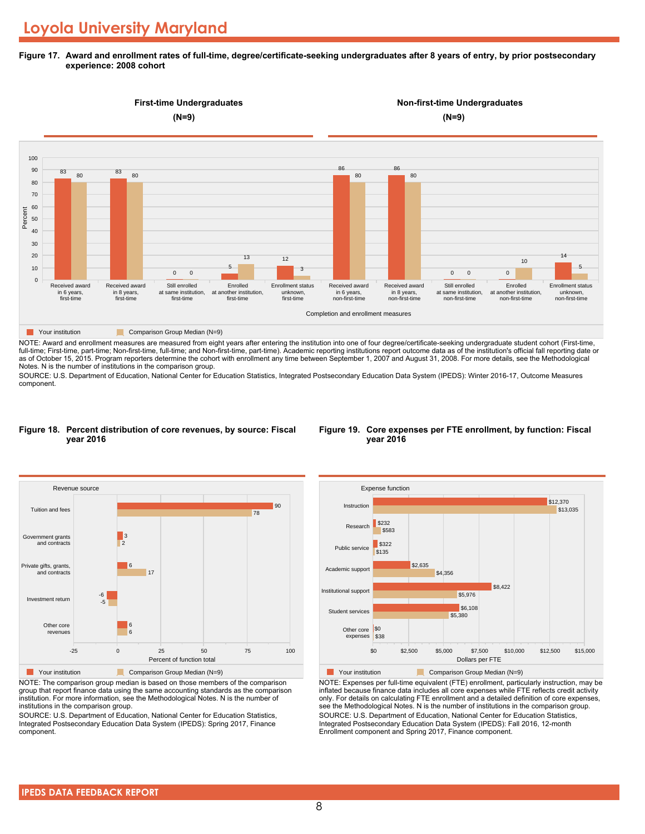**Figure 17. Award and enrollment rates of full-time, degree/certificate-seeking undergraduates after 8 years of entry, by prior postsecondary experience: 2008 cohort**



NOTE: Award and enrollment measures are measured from eight years after entering the institution into one of four degree/certificate-seeking undergraduate student cohort (First-time, full-time; First-time, part-time; Non-first-time, full-time; and Non-first-time, part-time). Academic reporting institutions report outcome data as of the institution's official fall reporting date or as of October 15, 2015. Program reporters determine the cohort with enrollment any time between September 1, 2007 and August 31, 2008. For more details, see the Methodological Notes. N is the number of institutions in the comparison group.

SOURCE: U.S. Department of Education, National Center for Education Statistics, Integrated Postsecondary Education Data System (IPEDS): Winter 2016-17, Outcome Measures component.

#### Revenue source -25 0 25 50 75 100 Percent of function total Other core revenues Investment return Private gifts, grants, and co Government grants and contracts Tuition and fees 6 6 -5 -6 |<br>17 6  $\frac{1}{2}$ 78 90

**Figure 18. Percent distribution of core revenues, by source: Fiscal**

**year 2016**

**The Comparison Group Median (N=9)** Comparison Group Median (N=9)

NOTE: The comparison group median is based on those members of the comparison group that report finance data using the same accounting standards as the comparison institution. For more information, see the Methodological Notes. N is the number of institutions in the comparison group.

SOURCE: U.S. Department of Education, National Center for Education Statistics, Integrated Postsecondary Education Data System (IPEDS): Spring 2017, Finance component.

# **Figure 19. Core expenses per FTE enrollment, by function: Fiscal year 2016**



NOTE: Expenses per full-time equivalent (FTE) enrollment, particularly instruction, may be inflated because finance data includes all core expenses while FTE reflects credit activity only. For details on calculating FTE enrollment and a detailed definition of core expenses, see the Methodological Notes. N is the number of institutions in the comparison group. SOURCE: U.S. Department of Education, National Center for Education Statistics, Integrated Postsecondary Education Data System (IPEDS): Fall 2016, 12-month Enrollment component and Spring 2017, Finance component.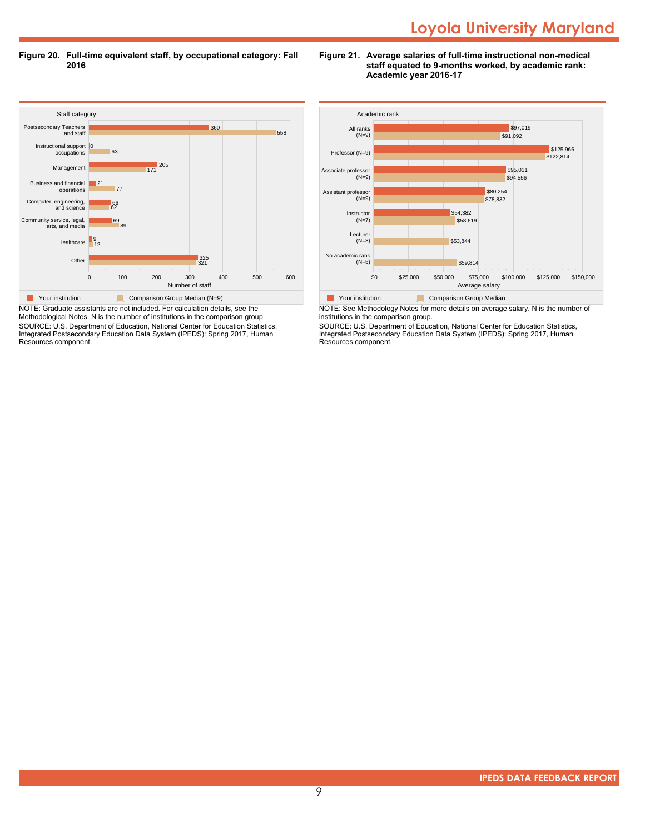**Figure 20. Full-time equivalent staff, by occupational category: Fall 2016**



NOTE: Graduate assistants are not included. For calculation details, see the Methodological Notes. N is the number of institutions in the comparison group. SOURCE: U.S. Department of Education, National Center for Education Statistics, Integrated Postsecondary Education Data System (IPEDS): Spring 2017, Human Resources component.

# **Figure 21. Average salaries of full-time instructional non-medical staff equated to 9-months worked, by academic rank: Academic year 2016-17**



NOTE: See Methodology Notes for more details on average salary. N is the number of institutions in the comparison group.

SOURCE: U.S. Department of Education, National Center for Education Statistics, Integrated Postsecondary Education Data System (IPEDS): Spring 2017, Human Resources component.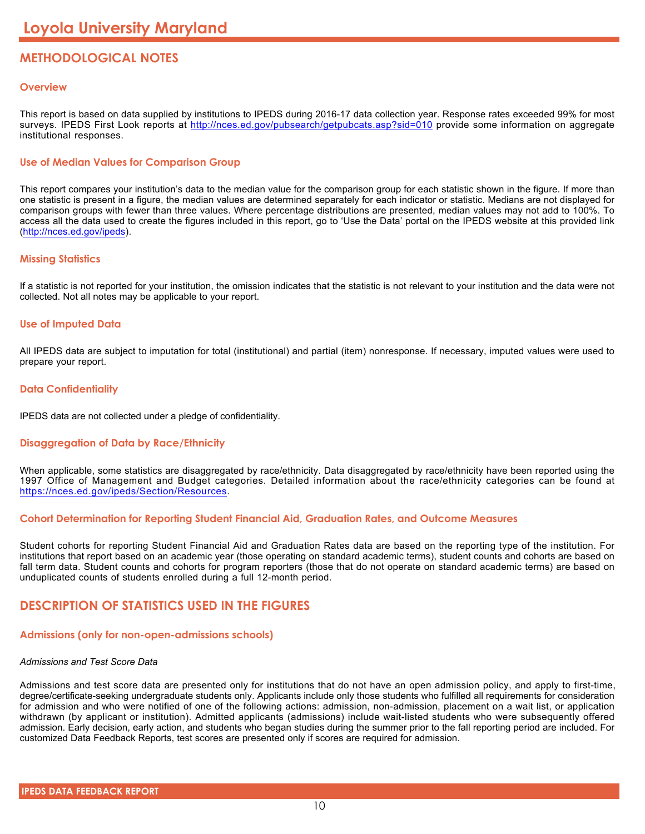# **METHODOLOGICAL NOTES**

# **Overview**

This report is based on data supplied by institutions to IPEDS during 2016-17 data collection year. Response rates exceeded 99% for most surveys. IPEDS First Look reports at <http://nces.ed.gov/pubsearch/getpubcats.asp?sid=010> provide some information on aggregate institutional responses.

# **Use of Median Values for Comparison Group**

This report compares your institution's data to the median value for the comparison group for each statistic shown in the figure. If more than one statistic is present in a figure, the median values are determined separately for each indicator or statistic. Medians are not displayed for comparison groups with fewer than three values. Where percentage distributions are presented, median values may not add to 100%. To access all the data used to create the figures included in this report, go to 'Use the Data' portal on the IPEDS website at this provided link (<http://nces.ed.gov/ipeds>).

# **Missing Statistics**

If a statistic is not reported for your institution, the omission indicates that the statistic is not relevant to your institution and the data were not collected. Not all notes may be applicable to your report.

# **Use of Imputed Data**

All IPEDS data are subject to imputation for total (institutional) and partial (item) nonresponse. If necessary, imputed values were used to prepare your report.

# **Data Confidentiality**

IPEDS data are not collected under a pledge of confidentiality.

# **Disaggregation of Data by Race/Ethnicity**

When applicable, some statistics are disaggregated by race/ethnicity. Data disaggregated by race/ethnicity have been reported using the 1997 Office of Management and Budget categories. Detailed information about the race/ethnicity categories can be found at <https://nces.ed.gov/ipeds/Section/Resources>.

# **Cohort Determination for Reporting Student Financial Aid, Graduation Rates, and Outcome Measures**

Student cohorts for reporting Student Financial Aid and Graduation Rates data are based on the reporting type of the institution. For institutions that report based on an academic year (those operating on standard academic terms), student counts and cohorts are based on fall term data. Student counts and cohorts for program reporters (those that do not operate on standard academic terms) are based on unduplicated counts of students enrolled during a full 12-month period.

# **DESCRIPTION OF STATISTICS USED IN THE FIGURES**

# **Admissions (only for non-open-admissions schools)**

# *Admissions and Test Score Data*

Admissions and test score data are presented only for institutions that do not have an open admission policy, and apply to first-time, degree/certificate-seeking undergraduate students only. Applicants include only those students who fulfilled all requirements for consideration for admission and who were notified of one of the following actions: admission, non-admission, placement on a wait list, or application withdrawn (by applicant or institution). Admitted applicants (admissions) include wait-listed students who were subsequently offered admission. Early decision, early action, and students who began studies during the summer prior to the fall reporting period are included. For customized Data Feedback Reports, test scores are presented only if scores are required for admission.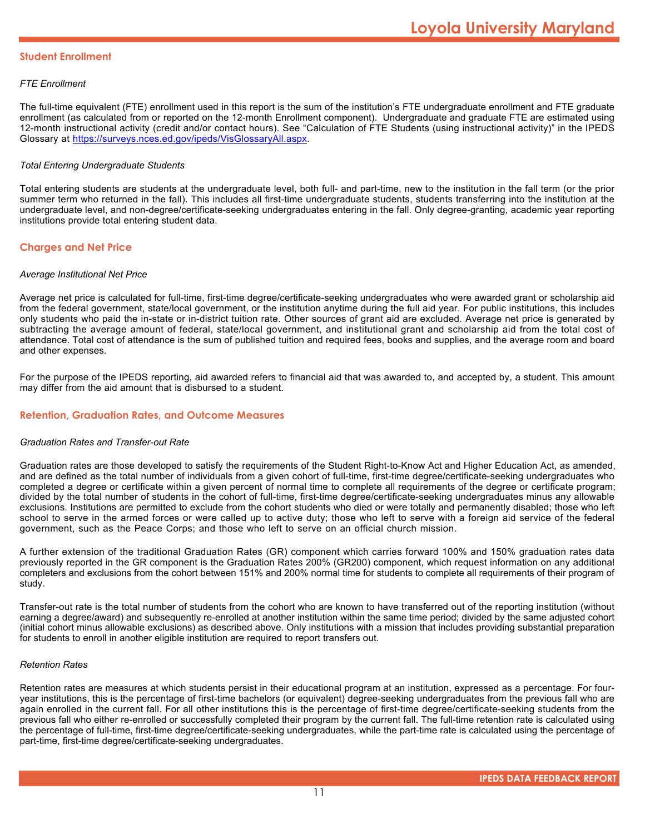# **Student Enrollment**

# *FTE Enrollment*

The full-time equivalent (FTE) enrollment used in this report is the sum of the institution's FTE undergraduate enrollment and FTE graduate enrollment (as calculated from or reported on the 12-month Enrollment component). Undergraduate and graduate FTE are estimated using 12-month instructional activity (credit and/or contact hours). See "Calculation of FTE Students (using instructional activity)" in the IPEDS Glossary at <https://surveys.nces.ed.gov/ipeds/VisGlossaryAll.aspx>.

# *Total Entering Undergraduate Students*

Total entering students are students at the undergraduate level, both full- and part-time, new to the institution in the fall term (or the prior summer term who returned in the fall). This includes all first-time undergraduate students, students transferring into the institution at the undergraduate level, and non-degree/certificate-seeking undergraduates entering in the fall. Only degree-granting, academic year reporting institutions provide total entering student data.

# **Charges and Net Price**

# *Average Institutional Net Price*

Average net price is calculated for full-time, first-time degree/certificate-seeking undergraduates who were awarded grant or scholarship aid from the federal government, state/local government, or the institution anytime during the full aid year. For public institutions, this includes only students who paid the in-state or in-district tuition rate. Other sources of grant aid are excluded. Average net price is generated by subtracting the average amount of federal, state/local government, and institutional grant and scholarship aid from the total cost of attendance. Total cost of attendance is the sum of published tuition and required fees, books and supplies, and the average room and board and other expenses.

For the purpose of the IPEDS reporting, aid awarded refers to financial aid that was awarded to, and accepted by, a student. This amount may differ from the aid amount that is disbursed to a student.

# **Retention, Graduation Rates, and Outcome Measures**

# *Graduation Rates and Transfer-out Rate*

Graduation rates are those developed to satisfy the requirements of the Student Right-to-Know Act and Higher Education Act, as amended, and are defined as the total number of individuals from a given cohort of full-time, first-time degree/certificate-seeking undergraduates who completed a degree or certificate within a given percent of normal time to complete all requirements of the degree or certificate program; divided by the total number of students in the cohort of full-time, first-time degree/certificate-seeking undergraduates minus any allowable exclusions. Institutions are permitted to exclude from the cohort students who died or were totally and permanently disabled; those who left school to serve in the armed forces or were called up to active duty; those who left to serve with a foreign aid service of the federal government, such as the Peace Corps; and those who left to serve on an official church mission.

A further extension of the traditional Graduation Rates (GR) component which carries forward 100% and 150% graduation rates data previously reported in the GR component is the Graduation Rates 200% (GR200) component, which request information on any additional completers and exclusions from the cohort between 151% and 200% normal time for students to complete all requirements of their program of study.

Transfer-out rate is the total number of students from the cohort who are known to have transferred out of the reporting institution (without earning a degree/award) and subsequently re-enrolled at another institution within the same time period; divided by the same adjusted cohort (initial cohort minus allowable exclusions) as described above. Only institutions with a mission that includes providing substantial preparation for students to enroll in another eligible institution are required to report transfers out.

# *Retention Rates*

Retention rates are measures at which students persist in their educational program at an institution, expressed as a percentage. For fouryear institutions, this is the percentage of first-time bachelors (or equivalent) degree-seeking undergraduates from the previous fall who are again enrolled in the current fall. For all other institutions this is the percentage of first-time degree/certificate-seeking students from the previous fall who either re-enrolled or successfully completed their program by the current fall. The full-time retention rate is calculated using the percentage of full-time, first-time degree/certificate-seeking undergraduates, while the part-time rate is calculated using the percentage of part-time, first-time degree/certificate-seeking undergraduates.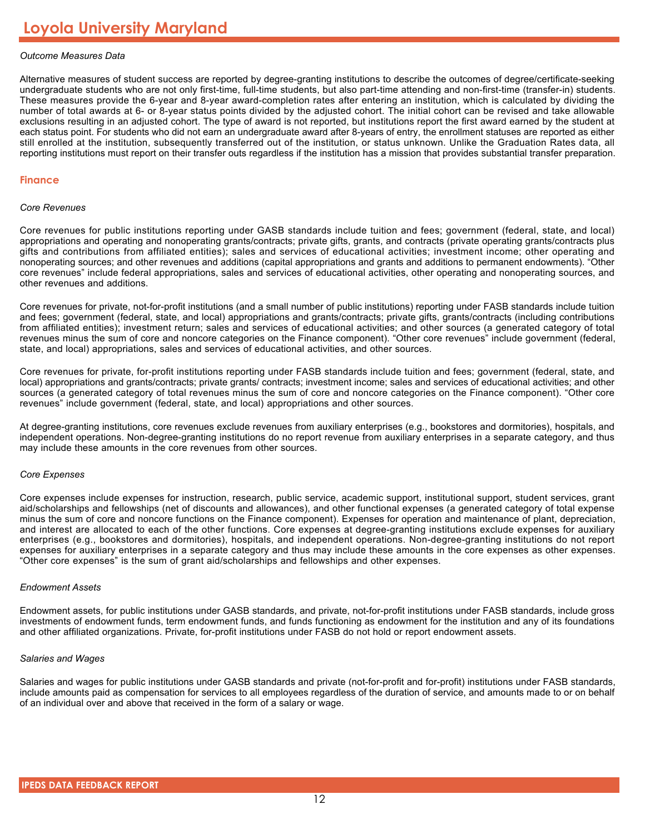# *Outcome Measures Data*

Alternative measures of student success are reported by degree-granting institutions to describe the outcomes of degree/certificate-seeking undergraduate students who are not only first-time, full-time students, but also part-time attending and non-first-time (transfer-in) students. These measures provide the 6-year and 8-year award-completion rates after entering an institution, which is calculated by dividing the number of total awards at 6- or 8-year status points divided by the adjusted cohort. The initial cohort can be revised and take allowable exclusions resulting in an adjusted cohort. The type of award is not reported, but institutions report the first award earned by the student at each status point. For students who did not earn an undergraduate award after 8-years of entry, the enrollment statuses are reported as either still enrolled at the institution, subsequently transferred out of the institution, or status unknown. Unlike the Graduation Rates data, all reporting institutions must report on their transfer outs regardless if the institution has a mission that provides substantial transfer preparation.

#### **Finance**

#### *Core Revenues*

Core revenues for public institutions reporting under GASB standards include tuition and fees; government (federal, state, and local) appropriations and operating and nonoperating grants/contracts; private gifts, grants, and contracts (private operating grants/contracts plus gifts and contributions from affiliated entities); sales and services of educational activities; investment income; other operating and nonoperating sources; and other revenues and additions (capital appropriations and grants and additions to permanent endowments). "Other core revenues" include federal appropriations, sales and services of educational activities, other operating and nonoperating sources, and other revenues and additions.

Core revenues for private, not-for-profit institutions (and a small number of public institutions) reporting under FASB standards include tuition and fees; government (federal, state, and local) appropriations and grants/contracts; private gifts, grants/contracts (including contributions from affiliated entities); investment return; sales and services of educational activities; and other sources (a generated category of total revenues minus the sum of core and noncore categories on the Finance component). "Other core revenues" include government (federal, state, and local) appropriations, sales and services of educational activities, and other sources.

Core revenues for private, for-profit institutions reporting under FASB standards include tuition and fees; government (federal, state, and local) appropriations and grants/contracts; private grants/ contracts; investment income; sales and services of educational activities; and other sources (a generated category of total revenues minus the sum of core and noncore categories on the Finance component). "Other core revenues" include government (federal, state, and local) appropriations and other sources.

At degree-granting institutions, core revenues exclude revenues from auxiliary enterprises (e.g., bookstores and dormitories), hospitals, and independent operations. Non-degree-granting institutions do no report revenue from auxiliary enterprises in a separate category, and thus may include these amounts in the core revenues from other sources.

# *Core Expenses*

Core expenses include expenses for instruction, research, public service, academic support, institutional support, student services, grant aid/scholarships and fellowships (net of discounts and allowances), and other functional expenses (a generated category of total expense minus the sum of core and noncore functions on the Finance component). Expenses for operation and maintenance of plant, depreciation, and interest are allocated to each of the other functions. Core expenses at degree-granting institutions exclude expenses for auxiliary enterprises (e.g., bookstores and dormitories), hospitals, and independent operations. Non-degree-granting institutions do not report expenses for auxiliary enterprises in a separate category and thus may include these amounts in the core expenses as other expenses. "Other core expenses" is the sum of grant aid/scholarships and fellowships and other expenses.

#### *Endowment Assets*

Endowment assets, for public institutions under GASB standards, and private, not-for-profit institutions under FASB standards, include gross investments of endowment funds, term endowment funds, and funds functioning as endowment for the institution and any of its foundations and other affiliated organizations. Private, for-profit institutions under FASB do not hold or report endowment assets.

# *Salaries and Wages*

Salaries and wages for public institutions under GASB standards and private (not-for-profit and for-profit) institutions under FASB standards, include amounts paid as compensation for services to all employees regardless of the duration of service, and amounts made to or on behalf of an individual over and above that received in the form of a salary or wage.